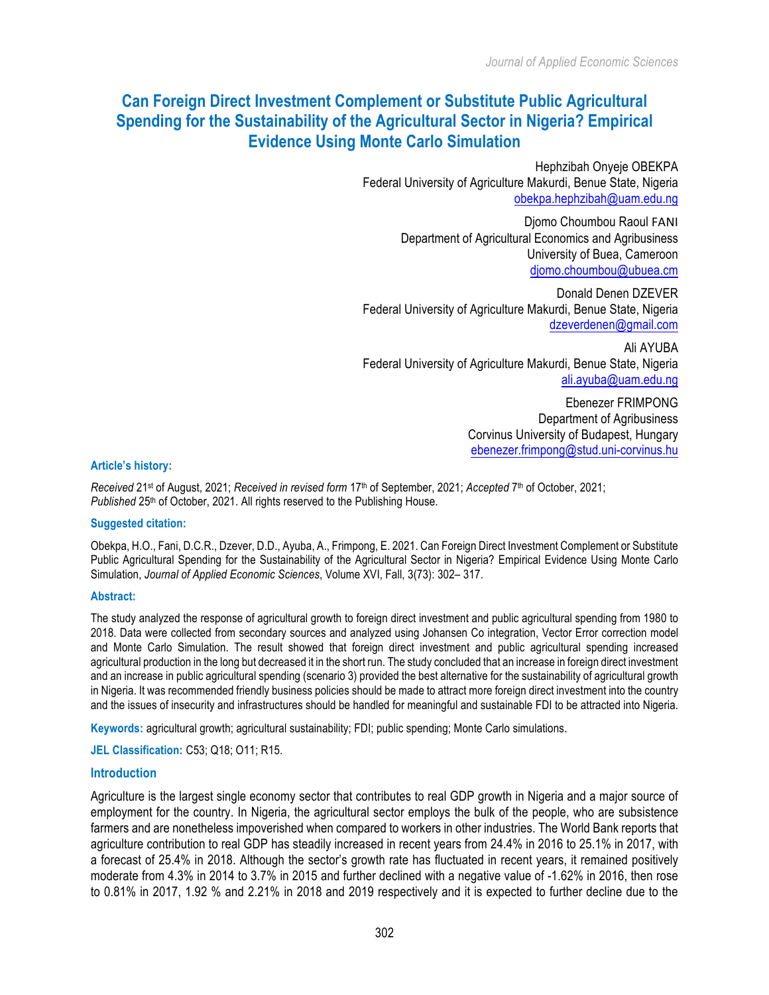# **Can Foreign Direct Investment Complement or Substitute Public Agricultural Spending for the Sustainability of the Agricultural Sector in Nigeria? Empirical Evidence Using Monte Carlo Simulation**

Hephzibah Onyeje OBEKPA Federal University of Agriculture Makurdi, Benue State, Nigeria obekpa.hephzibah@uam.edu.ng

> Djomo Choumbou Raoul FANI Department of Agricultural Economics and Agribusiness University of Buea, Cameroon djomo.choumbou@ubuea.cm

Donald Denen DZEVER Federal University of Agriculture Makurdi, Benue State, Nigeria dzeverdenen@gmail.com

Ali AYUBA Federal University of Agriculture Makurdi, Benue State, Nigeria ali.ayuba@uam.edu.ng

> Ebenezer FRIMPONG Department of Agribusiness Corvinus University of Budapest, Hungary ebenezer.frimpong@stud.uni-corvinus.hu

### **Article's history:**

*Received* 21st of August, 2021; *Received in revised form* 17th of September, 2021; *Accepted* 7th of October, 2021; Published 25<sup>th</sup> of October, 2021. All rights reserved to the Publishing House.

#### **Suggested citation:**

Obekpa, H.O., Fani, D.C.R., Dzever, D.D., Ayuba, A., Frimpong, E. 2021. Can Foreign Direct Investment Complement or Substitute Public Agricultural Spending for the Sustainability of the Agricultural Sector in Nigeria? Empirical Evidence Using Monte Carlo Simulation, *Journal of Applied Economic Sciences*, Volume XVI, Fall, 3(73): 302– 317.

#### **Abstract:**

The study analyzed the response of agricultural growth to foreign direct investment and public agricultural spending from 1980 to 2018. Data were collected from secondary sources and analyzed using Johansen Co integration, Vector Error correction model and Monte Carlo Simulation. The result showed that foreign direct investment and public agricultural spending increased agricultural production in the long but decreased it in the short run. The study concluded that an increase in foreign direct investment and an increase in public agricultural spending (scenario 3) provided the best alternative for the sustainability of agricultural growth in Nigeria. It was recommended friendly business policies should be made to attract more foreign direct investment into the country and the issues of insecurity and infrastructures should be handled for meaningful and sustainable FDI to be attracted into Nigeria.

**Keywords:** agricultural growth; agricultural sustainability; FDI; public spending; Monte Carlo simulations.

**JEL Classification:** C53; Q18; O11; R15.

#### **Introduction**

Agriculture is the largest single economy sector that contributes to real GDP growth in Nigeria and a major source of employment for the country. In Nigeria, the agricultural sector employs the bulk of the people, who are subsistence farmers and are nonetheless impoverished when compared to workers in other industries. The World Bank reports that agriculture contribution to real GDP has steadily increased in recent years from 24.4% in 2016 to 25.1% in 2017, with a forecast of 25.4% in 2018. Although the sector's growth rate has fluctuated in recent years, it remained positively moderate from 4.3% in 2014 to 3.7% in 2015 and further declined with a negative value of -1.62% in 2016, then rose to 0.81% in 2017, 1.92 % and 2.21% in 2018 and 2019 respectively and it is expected to further decline due to the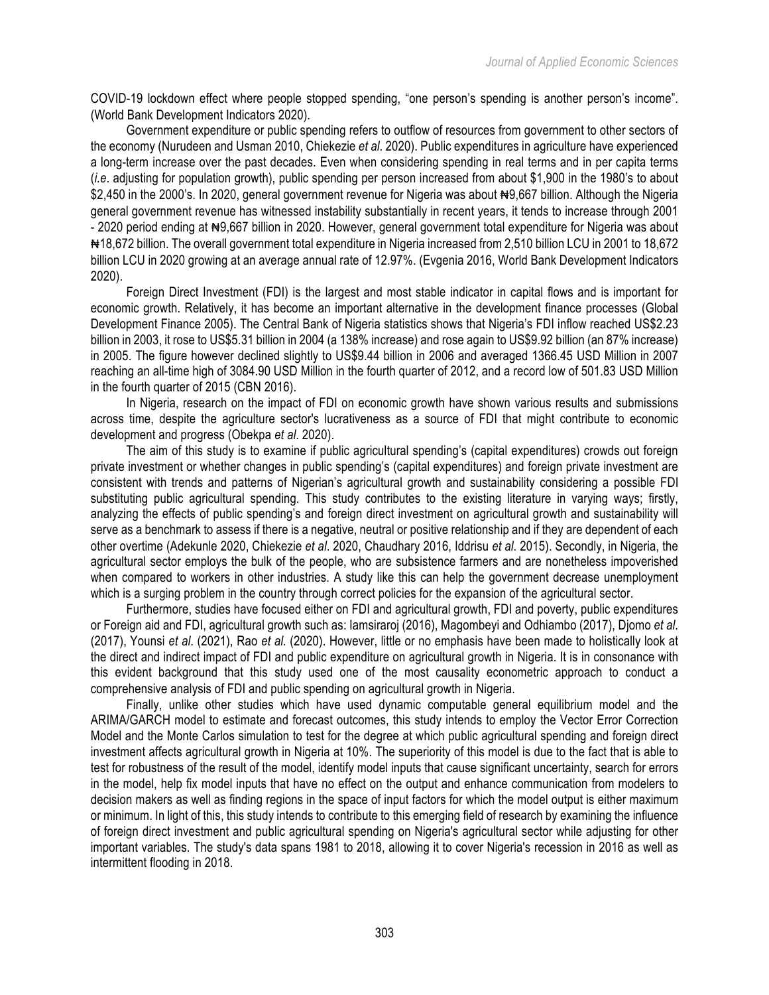COVID-19 lockdown effect where people stopped spending, "one person's spending is another person's income". (World Bank Development Indicators 2020).

Government expenditure or public spending refers to outflow of resources from government to other sectors of the economy (Nurudeen and Usman 2010, Chiekezie *et al*. 2020). Public expenditures in agriculture have experienced a long-term increase over the past decades. Even when considering spending in real terms and in per capita terms (*i.e*. adjusting for population growth), public spending per person increased from about \$1,900 in the 1980's to about \$2,450 in the 2000's. In 2020, general government revenue for Nigeria was about #9,667 billion. Although the Nigeria general government revenue has witnessed instability substantially in recent years, it tends to increase through 2001 - 2020 period ending at #9,667 billion in 2020. However, general government total expenditure for Nigeria was about ₦18,672 billion. The overall government total expenditure in Nigeria increased from 2,510 billion LCU in 2001 to 18,672 billion LCU in 2020 growing at an average annual rate of 12.97%. (Evgenia 2016, World Bank Development Indicators 2020).

Foreign Direct Investment (FDI) is the largest and most stable indicator in capital flows and is important for economic growth. Relatively, it has become an important alternative in the development finance processes (Global Development Finance 2005). The Central Bank of Nigeria statistics shows that Nigeria's FDI inflow reached US\$2.23 billion in 2003, it rose to US\$5.31 billion in 2004 (a 138% increase) and rose again to US\$9.92 billion (an 87% increase) in 2005. The figure however declined slightly to US\$9.44 billion in 2006 and averaged 1366.45 USD Million in 2007 reaching an all-time high of 3084.90 USD Million in the fourth quarter of 2012, and a record low of 501.83 USD Million in the fourth quarter of 2015 (CBN 2016).

In Nigeria, research on the impact of FDI on economic growth have shown various results and submissions across time, despite the agriculture sector's lucrativeness as a source of FDI that might contribute to economic development and progress (Obekpa *et al*. 2020).

The aim of this study is to examine if public agricultural spending's (capital expenditures) crowds out foreign private investment or whether changes in public spending's (capital expenditures) and foreign private investment are consistent with trends and patterns of Nigerian's agricultural growth and sustainability considering a possible FDI substituting public agricultural spending. This study contributes to the existing literature in varying ways; firstly, analyzing the effects of public spending's and foreign direct investment on agricultural growth and sustainability will serve as a benchmark to assess if there is a negative, neutral or positive relationship and if they are dependent of each other overtime (Adekunle 2020, Chiekezie *et al*. 2020, Chaudhary 2016, Iddrisu *et al*. 2015). Secondly, in Nigeria, the agricultural sector employs the bulk of the people, who are subsistence farmers and are nonetheless impoverished when compared to workers in other industries. A study like this can help the government decrease unemployment which is a surging problem in the country through correct policies for the expansion of the agricultural sector.

Furthermore, studies have focused either on FDI and agricultural growth, FDI and poverty, public expenditures or Foreign aid and FDI, agricultural growth such as: Iamsiraroj (2016), Magombeyi and Odhiambo (2017), Djomo *et al*. (2017), Younsi *et al*. (2021), Rao *et al.* (2020). However, little or no emphasis have been made to holistically look at the direct and indirect impact of FDI and public expenditure on agricultural growth in Nigeria. It is in consonance with this evident background that this study used one of the most causality econometric approach to conduct a comprehensive analysis of FDI and public spending on agricultural growth in Nigeria.

Finally, unlike other studies which have used dynamic computable general equilibrium model and the ARIMA/GARCH model to estimate and forecast outcomes, this study intends to employ the Vector Error Correction Model and the Monte Carlos simulation to test for the degree at which public agricultural spending and foreign direct investment affects agricultural growth in Nigeria at 10%. The superiority of this model is due to the fact that is able to test for robustness of the result of the model, identify model inputs that cause significant uncertainty, search for errors in the model, help fix model inputs that have no effect on the output and enhance communication from modelers to decision makers as well as finding regions in the space of input factors for which the model output is either maximum or minimum. In light of this, this study intends to contribute to this emerging field of research by examining the influence of foreign direct investment and public agricultural spending on Nigeria's agricultural sector while adjusting for other important variables. The study's data spans 1981 to 2018, allowing it to cover Nigeria's recession in 2016 as well as intermittent flooding in 2018.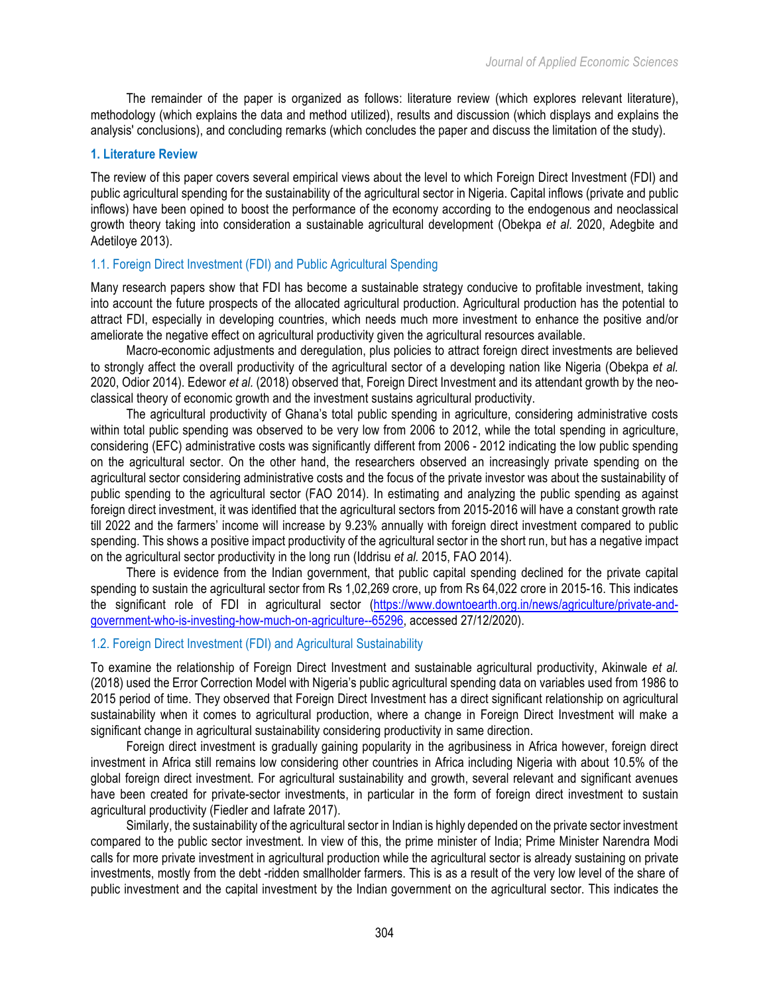The remainder of the paper is organized as follows: literature review (which explores relevant literature), methodology (which explains the data and method utilized), results and discussion (which displays and explains the analysis' conclusions), and concluding remarks (which concludes the paper and discuss the limitation of the study).

# **1. Literature Review**

The review of this paper covers several empirical views about the level to which Foreign Direct Investment (FDI) and public agricultural spending for the sustainability of the agricultural sector in Nigeria. Capital inflows (private and public inflows) have been opined to boost the performance of the economy according to the endogenous and neoclassical growth theory taking into consideration a sustainable agricultural development (Obekpa *et al.* 2020, Adegbite and Adetiloye 2013).

# 1.1. Foreign Direct Investment (FDI) and Public Agricultural Spending

Many research papers show that FDI has become a sustainable strategy conducive to profitable investment, taking into account the future prospects of the allocated agricultural production. Agricultural production has the potential to attract FDI, especially in developing countries, which needs much more investment to enhance the positive and/or ameliorate the negative effect on agricultural productivity given the agricultural resources available.

Macro-economic adjustments and deregulation, plus policies to attract foreign direct investments are believed to strongly affect the overall productivity of the agricultural sector of a developing nation like Nigeria (Obekpa *et al.* 2020, Odior 2014). Edewor *et al.* (2018) observed that, Foreign Direct Investment and its attendant growth by the neoclassical theory of economic growth and the investment sustains agricultural productivity.

The agricultural productivity of Ghana's total public spending in agriculture, considering administrative costs within total public spending was observed to be very low from 2006 to 2012, while the total spending in agriculture, considering (EFC) administrative costs was significantly different from 2006 - 2012 indicating the low public spending on the agricultural sector. On the other hand, the researchers observed an increasingly private spending on the agricultural sector considering administrative costs and the focus of the private investor was about the sustainability of public spending to the agricultural sector (FAO 2014). In estimating and analyzing the public spending as against foreign direct investment, it was identified that the agricultural sectors from 2015-2016 will have a constant growth rate till 2022 and the farmers' income will increase by 9.23% annually with foreign direct investment compared to public spending. This shows a positive impact productivity of the agricultural sector in the short run, but has a negative impact on the agricultural sector productivity in the long run (Iddrisu *et al.* 2015, FAO 2014).

There is evidence from the Indian government, that public capital spending declined for the private capital spending to sustain the agricultural sector from Rs 1,02,269 crore, up from Rs 64,022 crore in 2015-16. This indicates the significant role of FDI in agricultural sector (https://www.downtoearth.org.in/news/agriculture/private-andgovernment-who-is-investing-how-much-on-agriculture--65296, accessed 27/12/2020).

# 1.2. Foreign Direct Investment (FDI) and Agricultural Sustainability

To examine the relationship of Foreign Direct Investment and sustainable agricultural productivity, Akinwale *et al.* (2018) used the Error Correction Model with Nigeria's public agricultural spending data on variables used from 1986 to 2015 period of time. They observed that Foreign Direct Investment has a direct significant relationship on agricultural sustainability when it comes to agricultural production, where a change in Foreign Direct Investment will make a significant change in agricultural sustainability considering productivity in same direction.

Foreign direct investment is gradually gaining popularity in the agribusiness in Africa however, foreign direct investment in Africa still remains low considering other countries in Africa including Nigeria with about 10.5% of the global foreign direct investment. For agricultural sustainability and growth, several relevant and significant avenues have been created for private-sector investments, in particular in the form of foreign direct investment to sustain agricultural productivity (Fiedler and Iafrate 2017).

Similarly, the sustainability of the agricultural sector in Indian is highly depended on the private sector investment compared to the public sector investment. In view of this, the prime minister of India; Prime Minister Narendra Modi calls for more private investment in agricultural production while the agricultural sector is already sustaining on private investments, mostly from the debt -ridden smallholder farmers. This is as a result of the very low level of the share of public investment and the capital investment by the Indian government on the agricultural sector. This indicates the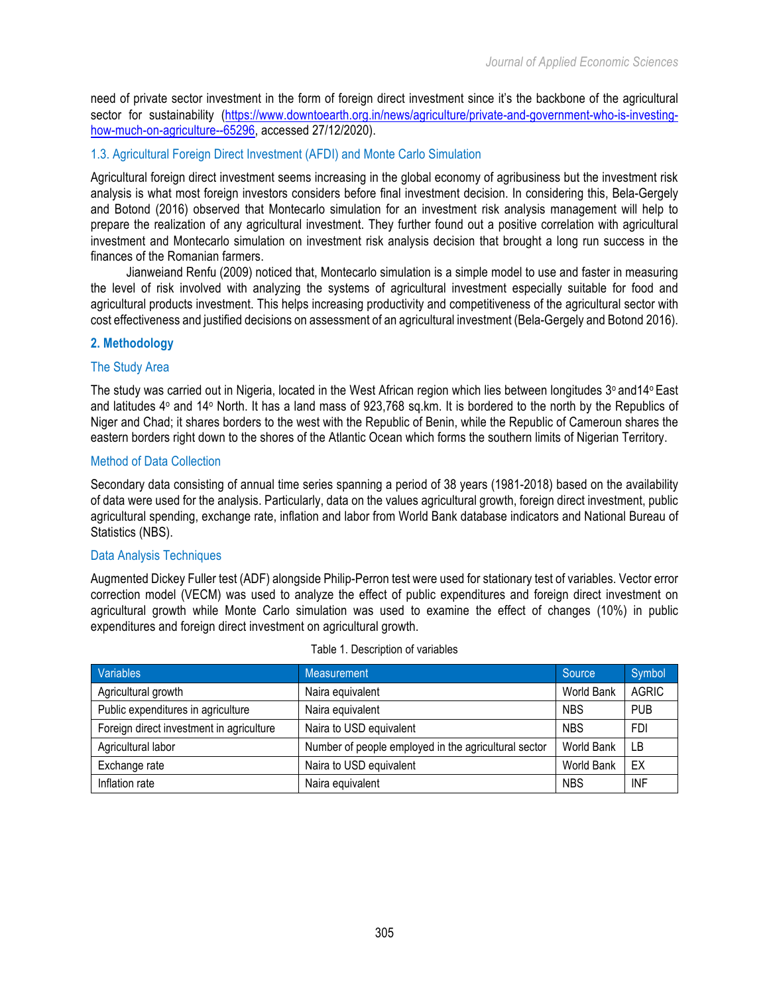need of private sector investment in the form of foreign direct investment since it's the backbone of the agricultural sector for sustainability (https://www.downtoearth.org.in/news/agriculture/private-and-government-who-is-investinghow-much-on-agriculture--65296, accessed 27/12/2020).

# 1.3. Agricultural Foreign Direct Investment (AFDI) and Monte Carlo Simulation

Agricultural foreign direct investment seems increasing in the global economy of agribusiness but the investment risk analysis is what most foreign investors considers before final investment decision. In considering this, Bela-Gergely and Botond (2016) observed that Montecarlo simulation for an investment risk analysis management will help to prepare the realization of any agricultural investment. They further found out a positive correlation with agricultural investment and Montecarlo simulation on investment risk analysis decision that brought a long run success in the finances of the Romanian farmers.

Jianweiand Renfu (2009) noticed that, Montecarlo simulation is a simple model to use and faster in measuring the level of risk involved with analyzing the systems of agricultural investment especially suitable for food and agricultural products investment. This helps increasing productivity and competitiveness of the agricultural sector with cost effectiveness and justified decisions on assessment of an agricultural investment (Bela-Gergely and Botond 2016).

# **2. Methodology**

# The Study Area

The study was carried out in Nigeria, located in the West African region which lies between longitudes 3° and 14° East and latitudes 4° and 14° North. It has a land mass of 923,768 sq.km. It is bordered to the north by the Republics of Niger and Chad; it shares borders to the west with the Republic of Benin, while the Republic of Cameroun shares the eastern borders right down to the shores of the Atlantic Ocean which forms the southern limits of Nigerian Territory.

# Method of Data Collection

Secondary data consisting of annual time series spanning a period of 38 years (1981-2018) based on the availability of data were used for the analysis. Particularly, data on the values agricultural growth, foreign direct investment, public agricultural spending, exchange rate, inflation and labor from World Bank database indicators and National Bureau of Statistics (NBS).

# Data Analysis Techniques

Augmented Dickey Fuller test (ADF) alongside Philip-Perron test were used for stationary test of variables. Vector error correction model (VECM) was used to analyze the effect of public expenditures and foreign direct investment on agricultural growth while Monte Carlo simulation was used to examine the effect of changes (10%) in public expenditures and foreign direct investment on agricultural growth.

| Variables                                | Measurement                                          | Source     | Symbol       |
|------------------------------------------|------------------------------------------------------|------------|--------------|
| Agricultural growth                      | Naira equivalent                                     | World Bank | <b>AGRIC</b> |
| Public expenditures in agriculture       | Naira equivalent                                     | <b>NBS</b> | <b>PUB</b>   |
| Foreign direct investment in agriculture | Naira to USD equivalent                              | <b>NBS</b> | <b>FDI</b>   |
| Agricultural labor                       | Number of people employed in the agricultural sector | World Bank | I B          |
| Exchange rate                            | Naira to USD equivalent                              | World Bank | EX           |
| Inflation rate                           | Naira equivalent                                     | <b>NBS</b> | <b>INF</b>   |

#### Table 1. Description of variables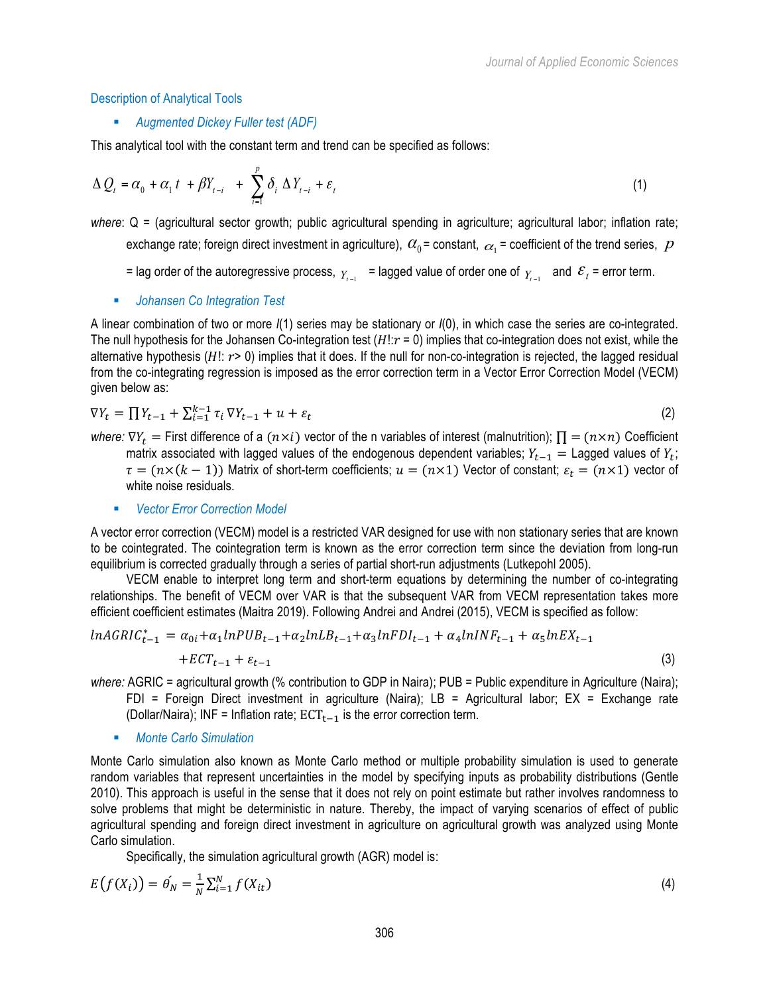#### Description of Analytical Tools

#### § *Augmented Dickey Fuller test (ADF)*

This analytical tool with the constant term and trend can be specified as follows:

$$
\Delta Q_{t} = \alpha_{0} + \alpha_{1} t + \beta Y_{t-i} + \sum_{i=1}^{p} \delta_{i} \Delta Y_{t-i} + \varepsilon_{t}
$$
\n
$$
\tag{1}
$$

*where*: Q = (agricultural sector growth; public agricultural spending in agriculture; agricultural labor; inflation rate; exchange rate; foreign direct investment in agriculture),  $\alpha_0$  = constant,  $\alpha_1$  = coefficient of the trend series,  $p$ 

- = lag order of the autoregressive process,  $Y_{t-1}$  = lagged value of order one of  $Y_{t-1}$  and  $\mathcal{E}_t$  = error term.
- *Johansen Co Integration Test*

A linear combination of two or more *I*(1) series may be stationary or *I*(0), in which case the series are co-integrated. The null hypothesis for the Johansen Co-integration test  $(H!:\,r=0)$  implies that co-integration does not exist, while the alternative hypothesis  $(H!; r > 0)$  implies that it does. If the null for non-co-integration is rejected, the lagged residual from the co-integrating regression is imposed as the error correction term in a Vector Error Correction Model (VECM) given below as:

$$
\nabla Y_t = \prod Y_{t-1} + \sum_{i=1}^{k-1} \tau_i \nabla Y_{t-1} + u + \varepsilon_t \tag{2}
$$

*where:*  $\nabla Y_t$  = First difference of a  $(n \times i)$  vector of the n variables of interest (malnutrition);  $\prod = (n \times n)$  Coefficient matrix associated with lagged values of the endogenous dependent variables;  $Y_{t-1}$  = Lagged values of  $Y_t$ ;  $\tau = (n \times (k-1))$  Matrix of short-term coefficients;  $u = (n \times 1)$  Vector of constant;  $\varepsilon_t = (n \times 1)$  vector of white noise residuals.

§ *Vector Error Correction Model* 

A vector error correction (VECM) model is a restricted VAR designed for use with non stationary series that are known to be cointegrated. The cointegration term is known as the error correction term since the deviation from long-run equilibrium is corrected gradually through a series of partial short-run adjustments (Lutkepohl 2005).

VECM enable to interpret long term and short-term equations by determining the number of co-integrating relationships. The benefit of VECM over VAR is that the subsequent VAR from VECM representation takes more efficient coefficient estimates (Maitra 2019). Following Andrei and Andrei (2015), VECM is specified as follow:

$$
lnAGRIC_{t-1}^{*} = \alpha_{0i} + \alpha_1 lnPUB_{t-1} + \alpha_2 lnLB_{t-1} + \alpha_3 lnFDI_{t-1} + \alpha_4 lnINF_{t-1} + \alpha_5 lnEX_{t-1} + ECT_{t-1} + \varepsilon_{t-1}
$$
\n(3)

*where:* AGRIC = agricultural growth (% contribution to GDP in Naira); PUB = Public expenditure in Agriculture (Naira);

- FDI = Foreign Direct investment in agriculture (Naira); LB = Agricultural labor; EX = Exchange rate (Dollar/Naira); INF = Inflation rate;  $ECT_{t-1}$  is the error correction term.
- § *Monte Carlo Simulation*

Monte Carlo simulation also known as Monte Carlo method or multiple probability simulation is used to generate random variables that represent uncertainties in the model by specifying inputs as probability distributions (Gentle 2010). This approach is useful in the sense that it does not rely on point estimate but rather involves randomness to solve problems that might be deterministic in nature. Thereby, the impact of varying scenarios of effect of public agricultural spending and foreign direct investment in agriculture on agricultural growth was analyzed using Monte Carlo simulation.

Specifically, the simulation agricultural growth (AGR) model is:

$$
E(f(X_i)) = \hat{\theta_N} = \frac{1}{N} \sum_{i=1}^{N} f(X_{it})
$$
\n(4)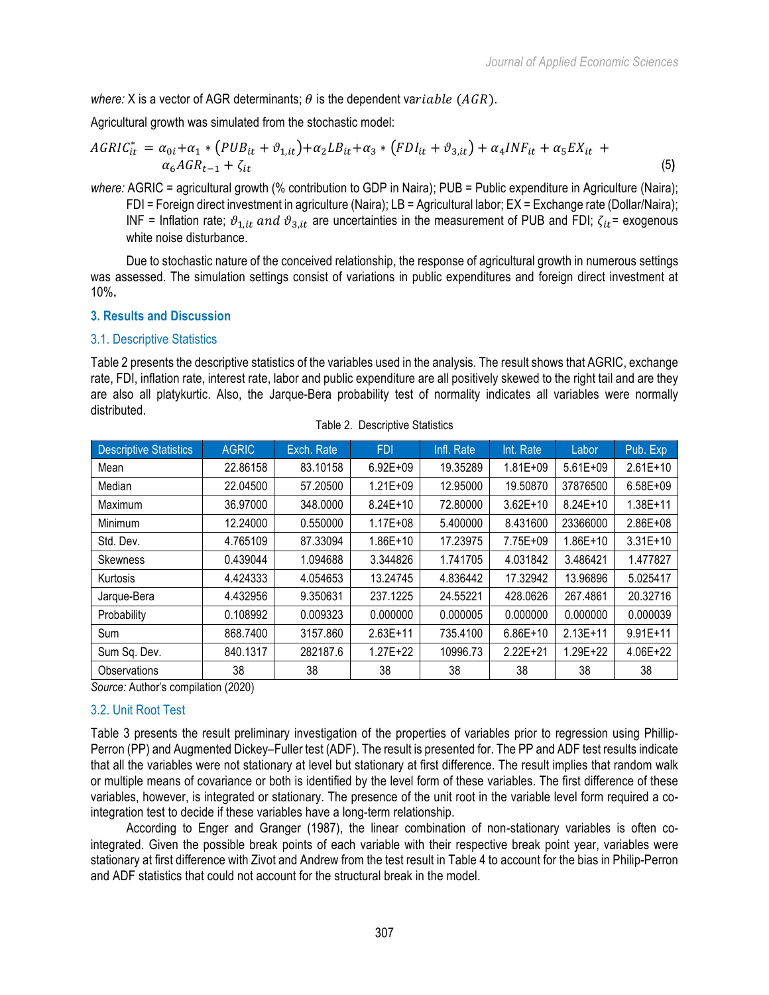*where:* X is a vector of AGR determinants;  $\theta$  is the dependent variable (AGR).

Agricultural growth was simulated from the stochastic model:

$$
AGRIC_{it}^{*} = \alpha_{0i} + \alpha_1 * (PUB_{it} + \vartheta_{1,it}) + \alpha_2 LB_{it} + \alpha_3 * (FDI_{it} + \vartheta_{3,it}) + \alpha_4 INF_{it} + \alpha_5 EX_{it} + \alpha_6 AGR_{t-1} + \zeta_{it}
$$
\n(5)

*where:* AGRIC = agricultural growth (% contribution to GDP in Naira); PUB = Public expenditure in Agriculture (Naira); FDI = Foreign direct investment in agriculture (Naira); LB = Agricultural labor; EX = Exchange rate (Dollar/Naira); INF = Inflation rate;  $\vartheta_{1,it}$  and  $\vartheta_{3,it}$  are uncertainties in the measurement of PUB and FDI;  $\zeta_{it}$ = exogenous white noise disturbance.

Due to stochastic nature of the conceived relationship, the response of agricultural growth in numerous settings was assessed. The simulation settings consist of variations in public expenditures and foreign direct investment at 10%**.**

# **3. Results and Discussion**

# 3.1. Descriptive Statistics

Table 2 presents the descriptive statistics of the variables used in the analysis. The result shows that AGRIC, exchange rate, FDI, inflation rate, interest rate, labor and public expenditure are all positively skewed to the right tail and are they are also all platykurtic. Also, the Jarque-Bera probability test of normality indicates all variables were normally distributed.

| <b>Descriptive Statistics</b> | <b>AGRIC</b> | Exch. Rate | <b>FDI</b>   | Infl. Rate | Int. Rate    | Labor        | Pub. Exp     |
|-------------------------------|--------------|------------|--------------|------------|--------------|--------------|--------------|
| Mean                          | 22.86158     | 83.10158   | $6.92E + 09$ | 19.35289   | $1.81E + 09$ | $5.61E + 09$ | $2.61E+10$   |
| Median                        | 22.04500     | 57.20500   | $1.21E + 09$ | 12.95000   | 19.50870     | 37876500     | $6.58E + 09$ |
| Maximum                       | 36.97000     | 348.0000   | $8.24E+10$   | 72.80000   | $3.62E + 10$ | $8.24E + 10$ | $1.38E + 11$ |
| Minimum                       | 12.24000     | 0.550000   | $1.17E + 08$ | 5.400000   | 8.431600     | 23366000     | $2.86E + 08$ |
| Std. Dev.                     | 4.765109     | 87.33094   | $1.86E+10$   | 17.23975   | 7.75E+09     | $1.86E+10$   | $3.31E+10$   |
| Skewness                      | 0.439044     | 1.094688   | 3.344826     | 1.741705   | 4.031842     | 3.486421     | 1.477827     |
| Kurtosis                      | 4.424333     | 4.054653   | 13.24745     | 4.836442   | 17.32942     | 13.96896     | 5.025417     |
| Jarque-Bera                   | 4.432956     | 9.350631   | 237.1225     | 24.55221   | 428.0626     | 267.4861     | 20.32716     |
| Probability                   | 0.108992     | 0.009323   | 0.000000     | 0.000005   | 0.000000     | 0.000000     | 0.000039     |
| Sum                           | 868.7400     | 3157.860   | $2.63E+11$   | 735.4100   | $6.86E+10$   | $2.13E+11$   | $9.91E+11$   |
| Sum Sq. Dev.                  | 840.1317     | 282187.6   | $1.27E + 22$ | 10996.73   | $2.22E+21$   | $1.29E + 22$ | $4.06E + 22$ |
| Observations                  | 38           | 38         | 38           | 38         | 38           | 38           | 38           |

Table 2. Descriptive Statistics

*Source:* Author's compilation (2020)

# 3.2. Unit Root Test

Table 3 presents the result preliminary investigation of the properties of variables prior to regression using Phillip-Perron (PP) and Augmented Dickey–Fuller test (ADF). The result is presented for. The PP and ADF test results indicate that all the variables were not stationary at level but stationary at first difference. The result implies that random walk or multiple means of covariance or both is identified by the level form of these variables. The first difference of these variables, however, is integrated or stationary. The presence of the unit root in the variable level form required a cointegration test to decide if these variables have a long-term relationship.

According to Enger and Granger (1987), the linear combination of non-stationary variables is often cointegrated. Given the possible break points of each variable with their respective break point year, variables were stationary at first difference with Zivot and Andrew from the test result in Table 4 to account for the bias in Philip-Perron and ADF statistics that could not account for the structural break in the model.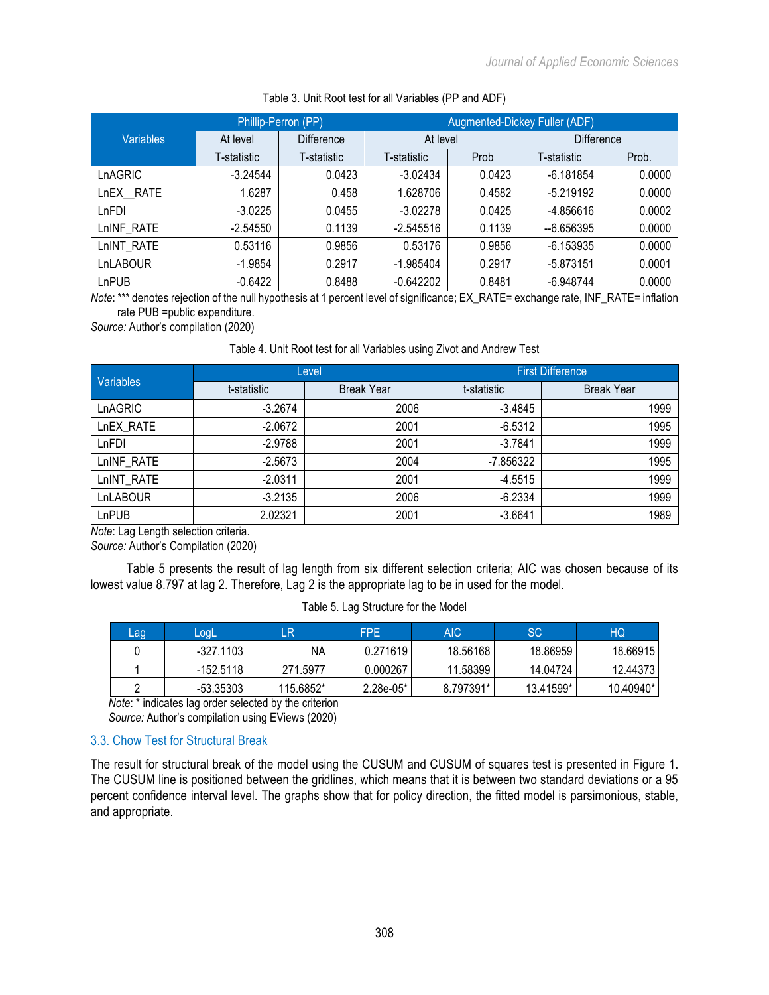|                  |             | Phillip-Perron (PP) | <b>Augmented-Dickey Fuller (ADF)</b> |        |             |                   |  |
|------------------|-------------|---------------------|--------------------------------------|--------|-------------|-------------------|--|
| <b>Variables</b> | At level    | <b>Difference</b>   | At level                             |        |             | <b>Difference</b> |  |
|                  | T-statistic | T-statistic         | T-statistic                          | Prob   | T-statistic | Prob.             |  |
| LnAGRIC          | $-3.24544$  | 0.0423              | $-3.02434$                           | 0.0423 | $-6.181854$ | 0.0000            |  |
| LnEX RATE        | 1.6287      | 0.458               | 1.628706                             | 0.4582 | $-5.219192$ | 0.0000            |  |
| LnFDI            | $-3.0225$   | 0.0455              | $-3.02278$                           | 0.0425 | -4.856616   | 0.0002            |  |
| LnINF RATE       | $-2.54550$  | 0.1139              | $-2.545516$                          | 0.1139 | $-6.656395$ | 0.0000            |  |
| LnINT RATE       | 0.53116     | 0.9856              | 0.53176                              | 0.9856 | $-6.153935$ | 0.0000            |  |
| LnLABOUR         | $-1.9854$   | 0.2917              | $-1.985404$                          | 0.2917 | $-5.873151$ | 0.0001            |  |
| LnPUB            | $-0.6422$   | 0.8488              | $-0.642202$                          | 0.8481 | $-6.948744$ | 0.0000            |  |

#### Table 3. Unit Root test for all Variables (PP and ADF)

*Note*: \*\*\* denotes rejection of the null hypothesis at 1 percent level of significance; EX\_RATE= exchange rate, INF\_RATE= inflation rate PUB =public expenditure.

*Source:* Author's compilation (2020)

#### Table 4. Unit Root test for all Variables using Zivot and Andrew Test

|                  |             | Level             | <b>First Difference</b> |                   |  |
|------------------|-------------|-------------------|-------------------------|-------------------|--|
| <b>Variables</b> | t-statistic | <b>Break Year</b> | t-statistic             | <b>Break Year</b> |  |
| LnAGRIC          | $-3.2674$   | 2006              | $-3.4845$               | 1999              |  |
| LnEX RATE        | $-2.0672$   | 2001              | $-6.5312$               | 1995              |  |
| LnFDI            | $-2.9788$   | 2001              | $-3.7841$               | 1999              |  |
| LnINF RATE       | $-2.5673$   | 2004              | -7.856322               | 1995              |  |
| LnINT RATE       | $-2.0311$   | 2001              | $-4.5515$               | 1999              |  |
| LnLABOUR         | $-3.2135$   | 2006              | $-6.2334$               | 1999              |  |
| LnPUB            | 2.02321     | 2001              | $-3.6641$               | 1989              |  |

*Note*: Lag Length selection criteria.

*Source:* Author's Compilation (2020)

Table 5 presents the result of lag length from six different selection criteria; AIC was chosen because of its lowest value 8.797 at lag 2. Therefore, Lag 2 is the appropriate lag to be in used for the model.

|  | Table 5. Lag Structure for the Model |  |  |
|--|--------------------------------------|--|--|
|--|--------------------------------------|--|--|

| Lag | LoqL        | LR        | <b>FPE</b>  | AIC       | SC        | HQ        |
|-----|-------------|-----------|-------------|-----------|-----------|-----------|
|     | $-327.1103$ | ΝA        | 0.271619    | 18.56168  | 18.86959  | 18.66915  |
|     | -152.5118   | 271.5977  | 0.000267    | 11.58399  | 14.04724  | 12.44373  |
|     | -53.35303   | 115.6852* | $2.28e-05*$ | 8.797391* | 13.41599* | 10.40940* |

*Note*: \* indicates lag order selected by the criterion *Source:* Author's compilation using EViews (2020)

# 3.3. Chow Test for Structural Break

The result for structural break of the model using the CUSUM and CUSUM of squares test is presented in Figure 1. The CUSUM line is positioned between the gridlines, which means that it is between two standard deviations or a 95 percent confidence interval level. The graphs show that for policy direction, the fitted model is parsimonious, stable, and appropriate.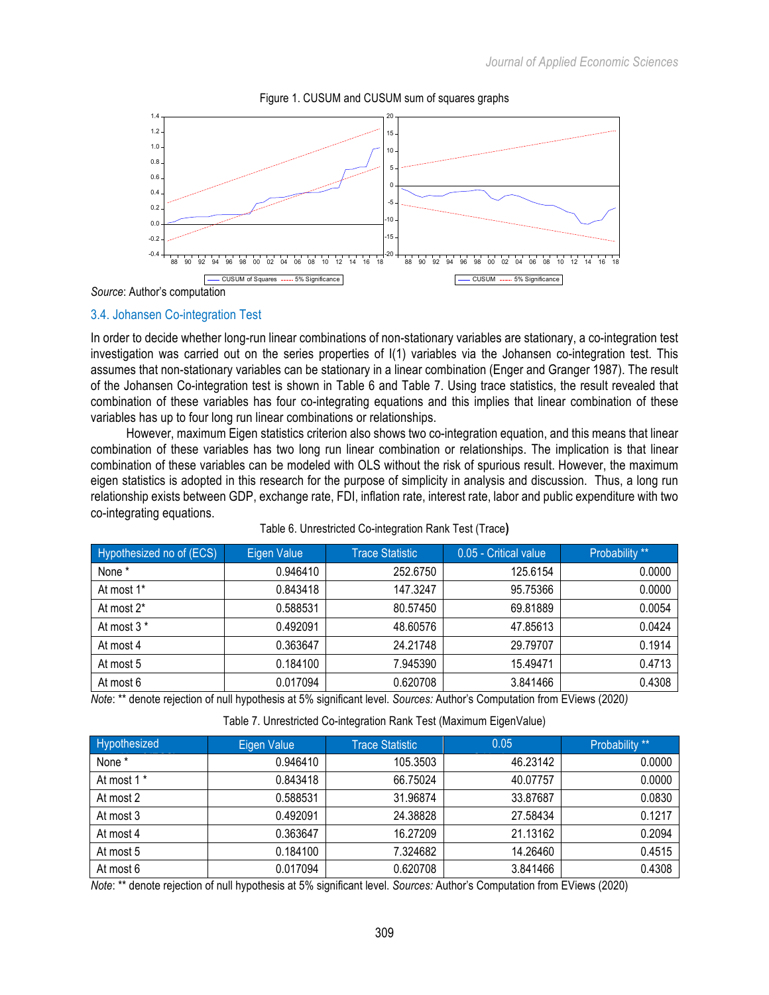

Figure 1. CUSUM and CUSUM sum of squares graphs

*Source*: Author's computation

#### 3.4. Johansen Co-integration Test

In order to decide whether long-run linear combinations of non-stationary variables are stationary, a co-integration test investigation was carried out on the series properties of I(1) variables via the Johansen co-integration test. This assumes that non-stationary variables can be stationary in a linear combination (Enger and Granger 1987). The result of the Johansen Co-integration test is shown in Table 6 and Table 7. Using trace statistics, the result revealed that combination of these variables has four co-integrating equations and this implies that linear combination of these variables has up to four long run linear combinations or relationships.

However, maximum Eigen statistics criterion also shows two co-integration equation, and this means that linear combination of these variables has two long run linear combination or relationships. The implication is that linear combination of these variables can be modeled with OLS without the risk of spurious result. However, the maximum eigen statistics is adopted in this research for the purpose of simplicity in analysis and discussion. Thus, a long run relationship exists between GDP, exchange rate, FDI, inflation rate, interest rate, labor and public expenditure with two co-integrating equations.

| Hypothesized no of (ECS) | Eigen Value | <b>Trace Statistic</b> | 0.05 - Critical value | Probability ** |
|--------------------------|-------------|------------------------|-----------------------|----------------|
| None *                   | 0.946410    | 252.6750               | 125.6154              | 0.0000         |
| At most 1*               | 0.843418    | 147.3247               | 95.75366              | 0.0000         |
| At most 2*               | 0.588531    | 80.57450               | 69.81889              | 0.0054         |
| At most 3 *              | 0.492091    | 48.60576               | 47.85613              | 0.0424         |
| At most 4                | 0.363647    | 24.21748               | 29.79707              | 0.1914         |
| At most 5                | 0.184100    | 7.945390               | 15.49471              | 0.4713         |
| At most 6                | 0.017094    | 0.620708               | 3.841466              | 0.4308         |

#### Table 6. Unrestricted Co-integration Rank Test (Trace**)**

*Note*: \*\* denote rejection of null hypothesis at 5% significant level. *Sources:* Author's Computation from EViews (2020*)*

Table 7. Unrestricted Co-integration Rank Test (Maximum EigenValue)

| Hypothesized           | Eigen Value | <b>Trace Statistic</b> | 0.05     | Probability ** |
|------------------------|-------------|------------------------|----------|----------------|
| None *                 | 0.946410    | 105.3503               | 46.23142 | 0.0000         |
| At most 1 <sup>*</sup> | 0.843418    | 66.75024               | 40.07757 | 0.0000         |
| At most 2              | 0.588531    | 31.96874               | 33.87687 | 0.0830         |
| At most 3              | 0.492091    | 24.38828               | 27.58434 | 0.1217         |
| At most 4              | 0.363647    | 16.27209               | 21.13162 | 0.2094         |
| At most 5              | 0.184100    | 7.324682               | 14.26460 | 0.4515         |
| At most 6              | 0.017094    | 0.620708               | 3.841466 | 0.4308         |

*Note*: \*\* denote rejection of null hypothesis at 5% significant level. *Sources:* Author's Computation from EViews (2020)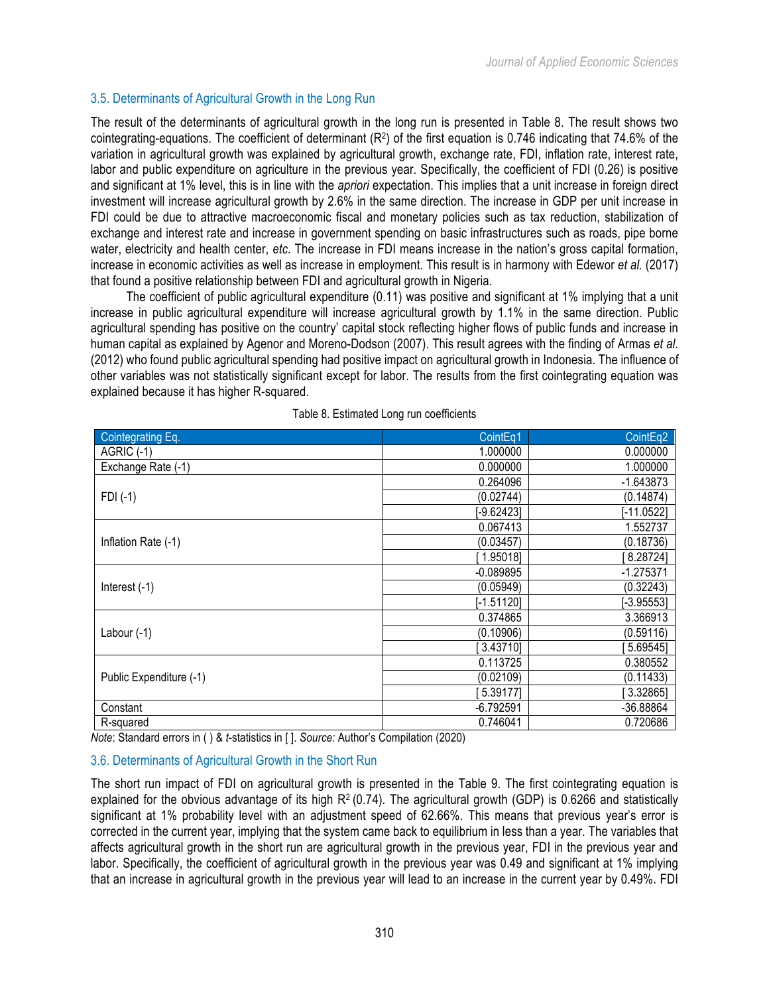# 3.5. Determinants of Agricultural Growth in the Long Run

The result of the determinants of agricultural growth in the long run is presented in Table 8. The result shows two cointegrating-equations. The coefficient of determinant  $(R^2)$  of the first equation is 0.746 indicating that 74.6% of the variation in agricultural growth was explained by agricultural growth, exchange rate, FDI, inflation rate, interest rate, labor and public expenditure on agriculture in the previous year. Specifically, the coefficient of FDI (0.26) is positive and significant at 1% level, this is in line with the *apriori* expectation. This implies that a unit increase in foreign direct investment will increase agricultural growth by 2.6% in the same direction. The increase in GDP per unit increase in FDI could be due to attractive macroeconomic fiscal and monetary policies such as tax reduction, stabilization of exchange and interest rate and increase in government spending on basic infrastructures such as roads, pipe borne water, electricity and health center, *etc*. The increase in FDI means increase in the nation's gross capital formation, increase in economic activities as well as increase in employment. This result is in harmony with Edewor *et al.* (2017) that found a positive relationship between FDI and agricultural growth in Nigeria.

The coefficient of public agricultural expenditure (0.11) was positive and significant at 1% implying that a unit increase in public agricultural expenditure will increase agricultural growth by 1.1% in the same direction. Public agricultural spending has positive on the country' capital stock reflecting higher flows of public funds and increase in human capital as explained by Agenor and Moreno-Dodson (2007). This result agrees with the finding of Armas *et al*. (2012) who found public agricultural spending had positive impact on agricultural growth in Indonesia. The influence of other variables was not statistically significant except for labor. The results from the first cointegrating equation was explained because it has higher R-squared.

| Cointegrating Eq.       | CointEq1     | CointEq2     |
|-------------------------|--------------|--------------|
| AGRIC (-1)              | 1.000000     | 0.000000     |
| Exchange Rate (-1)      | 0.000000     | 1.000000     |
|                         | 0.264096     | $-1.643873$  |
| $FDI(-1)$               | (0.02744)    | (0.14874)    |
|                         | $-9.62423$   | [-11.0522]   |
|                         | 0.067413     | 1.552737     |
| Inflation Rate (-1)     | (0.03457)    | (0.18736)    |
|                         | 1.95018]     | 8.28724      |
|                         | $-0.089895$  | $-1.275371$  |
| Interest $(-1)$         | (0.05949)    | (0.32243)    |
|                         | $[-1.51120]$ | $[-3.95553]$ |
|                         | 0.374865     | 3.366913     |
| Labour $(-1)$           | (0.10906)    | (0.59116)    |
|                         | 3.43710]     | 5.69545]     |
|                         | 0.113725     | 0.380552     |
| Public Expenditure (-1) | (0.02109)    | (0.11433)    |
|                         | 5.39177]     | 3.32865]     |
| Constant                | $-6.792591$  | -36.88864    |
| R-squared               | 0.746041     | 0.720686     |

Table 8. Estimated Long run coefficients

*Note*: Standard errors in ( ) & *t*-statistics in [ ]. *Source:* Author's Compilation (2020)

# 3.6. Determinants of Agricultural Growth in the Short Run

The short run impact of FDI on agricultural growth is presented in the Table 9. The first cointegrating equation is explained for the obvious advantage of its high  $R^2$  (0.74). The agricultural growth (GDP) is 0.6266 and statistically significant at 1% probability level with an adjustment speed of 62.66%. This means that previous year's error is corrected in the current year, implying that the system came back to equilibrium in less than a year. The variables that affects agricultural growth in the short run are agricultural growth in the previous year, FDI in the previous year and labor. Specifically, the coefficient of agricultural growth in the previous year was 0.49 and significant at 1% implying that an increase in agricultural growth in the previous year will lead to an increase in the current year by 0.49%. FDI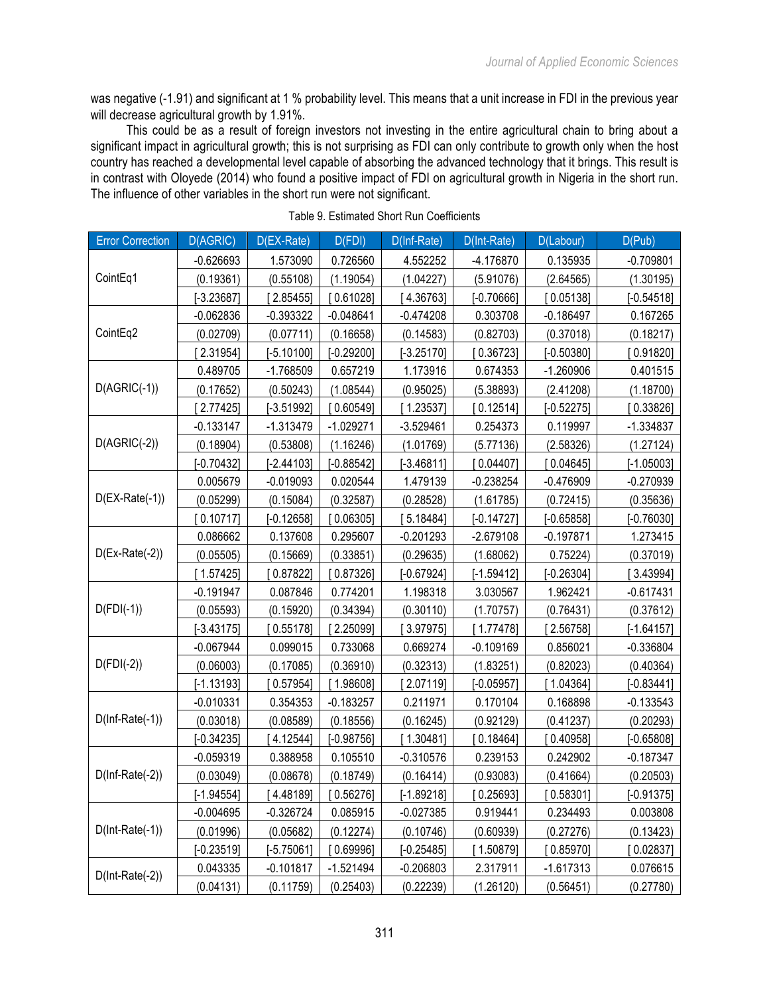was negative (-1.91) and significant at 1 % probability level. This means that a unit increase in FDI in the previous year will decrease agricultural growth by 1.91%.

This could be as a result of foreign investors not investing in the entire agricultural chain to bring about a significant impact in agricultural growth; this is not surprising as FDI can only contribute to growth only when the host country has reached a developmental level capable of absorbing the advanced technology that it brings. This result is in contrast with Oloyede (2014) who found a positive impact of FDI on agricultural growth in Nigeria in the short run. The influence of other variables in the short run were not significant.

| <b>Error Correction</b>  | D(AGRIC)     | D(EX-Rate)   | D(FDI)       | $D(Inf-Rate)$ | D(Int-Rate)  | D(Labour)    | D(Pub)       |
|--------------------------|--------------|--------------|--------------|---------------|--------------|--------------|--------------|
|                          | $-0.626693$  | 1.573090     | 0.726560     | 4.552252      | -4.176870    | 0.135935     | $-0.709801$  |
| CointEq1                 | (0.19361)    | (0.55108)    | (1.19054)    | (1.04227)     | (5.91076)    | (2.64565)    | (1.30195)    |
|                          | $[-3.23687]$ | [2.85455]    | [0.61028]    | [4.36763]     | $[-0.70666]$ | [0.05138]    | $[-0.54518]$ |
|                          | $-0.062836$  | $-0.393322$  | $-0.048641$  | $-0.474208$   | 0.303708     | $-0.186497$  | 0.167265     |
| CointEq2                 | (0.02709)    | (0.07711)    | (0.16658)    | (0.14583)     | (0.82703)    | (0.37018)    | (0.18217)    |
|                          | 2.31954]     | $[-5.10100]$ | $[-0.29200]$ | $[-3.25170]$  | 0.36723]     | $[-0.50380]$ | [0.91820]    |
|                          | 0.489705     | $-1.768509$  | 0.657219     | 1.173916      | 0.674353     | $-1.260906$  | 0.401515     |
| $D(AGRIC(-1))$           | (0.17652)    | (0.50243)    | (1.08544)    | (0.95025)     | (5.38893)    | (2.41208)    | (1.18700)    |
|                          | 2.77425]     | $[-3.51992]$ | [0.60549]    | [1.23537]     | [0.12514]    | $[-0.52275]$ | $0.33826$ ]  |
|                          | $-0.133147$  | $-1.313479$  | $-1.029271$  | $-3.529461$   | 0.254373     | 0.119997     | -1.334837    |
| $D(AGRIC(-2))$           | (0.18904)    | (0.53808)    | (1.16246)    | (1.01769)     | (5.77136)    | (2.58326)    | (1.27124)    |
|                          | $[-0.70432]$ | $[-2.44103]$ | $[-0.88542]$ | $[-3.46811]$  | 0.04407      | [0.04645]    | $[-1.05003]$ |
|                          | 0.005679     | $-0.019093$  | 0.020544     | 1.479139      | $-0.238254$  | $-0.476909$  | $-0.270939$  |
| $D(EX-Rate(-1))$         | (0.05299)    | (0.15084)    | (0.32587)    | (0.28528)     | (1.61785)    | (0.72415)    | (0.35636)    |
|                          | 0.10717      | $[-0.12658]$ | [0.06305]    | 5.18484]      | $[-0.14727]$ | $[-0.65858]$ | $[-0.76030]$ |
|                          | 0.086662     | 0.137608     | 0.295607     | $-0.201293$   | $-2.679108$  | $-0.197871$  | 1.273415     |
| $D(Ex-Rate(-2))$         | (0.05505)    | (0.15669)    | (0.33851)    | (0.29635)     | (1.68062)    | 0.75224)     | (0.37019)    |
|                          | 1.57425      | [0.87822]    | [0.87326]    | $[-0.67924]$  | $[-1.59412]$ | $[-0.26304]$ | 3.43994]     |
|                          | $-0.191947$  | 0.087846     | 0.774201     | 1.198318      | 3.030567     | 1.962421     | $-0.617431$  |
| $D(FDI(-1))$             | (0.05593)    | (0.15920)    | (0.34394)    | (0.30110)     | (1.70757)    | (0.76431)    | (0.37612)    |
|                          | $[-3.43175]$ | 0.55178      | [2.25099]    | 3.97975]      | [1.77478]    | $[2.56758]$  | $[-1.64157]$ |
|                          | $-0.067944$  | 0.099015     | 0.733068     | 0.669274      | $-0.109169$  | 0.856021     | $-0.336804$  |
| $D(FDI(-2))$             | (0.06003)    | (0.17085)    | (0.36910)    | (0.32313)     | (1.83251)    | (0.82023)    | (0.40364)    |
|                          | $[-1.13193]$ | 0.57954]     | 1.98608      | 2.07119]      | $[-0.05957]$ | [1.04364]    | $[-0.83441]$ |
|                          | $-0.010331$  | 0.354353     | $-0.183257$  | 0.211971      | 0.170104     | 0.168898     | $-0.133543$  |
| $D(Inf-Rate(-1))$        | (0.03018)    | (0.08589)    | (0.18556)    | (0.16245)     | (0.92129)    | (0.41237)    | (0.20293)    |
|                          | $[-0.34235]$ | [4.12544]    | $[-0.98756]$ | [1.30481]     | [0.18464]    | [0.40958]    | $[-0.65808]$ |
|                          | $-0.059319$  | 0.388958     | 0.105510     | $-0.310576$   | 0.239153     | 0.242902     | $-0.187347$  |
| $D(Inf-Rate(-2))$        | (0.03049)    | (0.08678)    | (0.18749)    | (0.16414)     | (0.93083)    | (0.41664)    | (0.20503)    |
|                          | $[-1.94554]$ | [4.48189]    | [0.56276]    | $[-1.89218]$  | [0.25693]    | [0.58301]    | $[-0.91375]$ |
|                          | $-0.004695$  | $-0.326724$  | 0.085915     | $-0.027385$   | 0.919441     | 0.234493     | 0.003808     |
| $D(Int\text{-}Rate(-1))$ | (0.01996)    | (0.05682)    | (0.12274)    | (0.10746)     | (0.60939)    | (0.27276)    | (0.13423)    |
|                          | $[-0.23519]$ | $[-5.75061]$ | 0.69996      | $[-0.25485]$  | [1.50879]    | [0.85970]    | [0.02837]    |
| $D(Int\text{-}Rate(-2))$ | 0.043335     | $-0.101817$  | $-1.521494$  | $-0.206803$   | 2.317911     | $-1.617313$  | 0.076615     |
|                          | (0.04131)    | (0.11759)    | (0.25403)    | (0.22239)     | (1.26120)    | (0.56451)    | (0.27780)    |

Table 9. Estimated Short Run Coefficients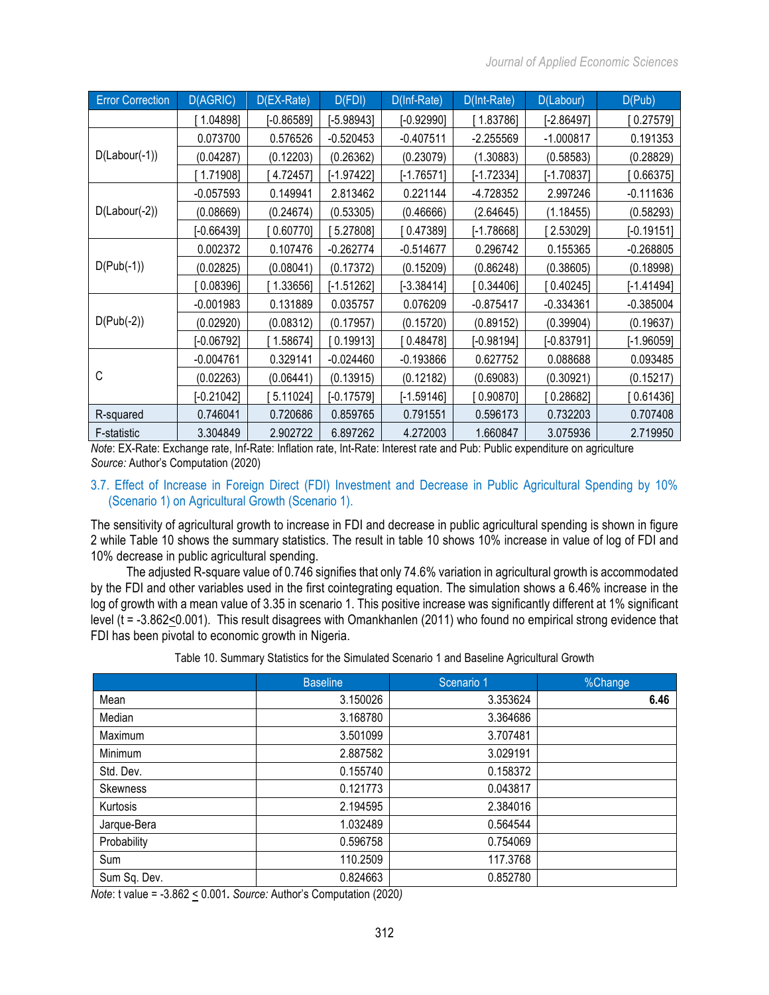| <b>Error Correction</b> | D(AGRIC)     | D(EX-Rate)   | D(FDI)       | D(Inf-Rate)  | D(Int-Rate)  | D(Labour)    | D(Pub)       |
|-------------------------|--------------|--------------|--------------|--------------|--------------|--------------|--------------|
|                         | 1.04898]     | $[-0.86589]$ | $[-5.98943]$ | $[-0.92990]$ | 1.83786]     | $[-2.86497]$ | 0.27579      |
|                         | 0.073700     | 0.576526     | $-0.520453$  | $-0.407511$  | $-2.255569$  | $-1.000817$  | 0.191353     |
| $D(Labour(-1))$         | (0.04287)    | (0.12203)    | (0.26362)    | (0.23079)    | (1.30883)    | (0.58583)    | (0.28829)    |
|                         | 1.71908      | 4.72457]     | $[-1.97422]$ | $[-1.76571]$ | $[-1.72334]$ | $[-1.70837]$ | [0.66375]    |
|                         | $-0.057593$  | 0.149941     | 2.813462     | 0.221144     | -4.728352    | 2.997246     | $-0.111636$  |
| $D(Labour(-2))$         | (0.08669)    | (0.24674)    | (0.53305)    | (0.46666)    | (2.64645)    | (1.18455)    | (0.58293)    |
|                         | $[-0.66439]$ | 0.60770]     | 5.27808]     | 0.47389      | $[-1.78668]$ | 2.53029]     | $[-0.19151]$ |
|                         | 0.002372     | 0.107476     | $-0.262774$  | $-0.514677$  | 0.296742     | 0.155365     | $-0.268805$  |
| $D(Pub(-1))$            | (0.02825)    | (0.08041)    | (0.17372)    | (0.15209)    | (0.86248)    | (0.38605)    | (0.18998)    |
|                         | 0.08396      | 1.33656]     | $[-1.51262]$ | $[-3.38414]$ | $0.34406$ ]  | 0.40245      | [-1.41494]   |
|                         | $-0.001983$  | 0.131889     | 0.035757     | 0.076209     | $-0.875417$  | $-0.334361$  | $-0.385004$  |
| $D(Pub(-2))$            | (0.02920)    | (0.08312)    | (0.17957)    | (0.15720)    | (0.89152)    | (0.39904)    | (0.19637)    |
|                         | $[-0.06792]$ | [1.58674]    | [0.19913]    | [0.48478]    | $[-0.98194]$ | $[-0.83791]$ | $[-1.96059]$ |
|                         | $-0.004761$  | 0.329141     | $-0.024460$  | $-0.193866$  | 0.627752     | 0.088688     | 0.093485     |
| C                       | (0.02263)    | (0.06441)    | (0.13915)    | (0.12182)    | (0.69083)    | (0.30921)    | (0.15217)    |
|                         | $[-0.21042]$ | 5.11024]     | $[-0.17579]$ | $[-1.59146]$ | 0.90870]     | 0.28682]     | 0.61436]     |
| R-squared               | 0.746041     | 0.720686     | 0.859765     | 0.791551     | 0.596173     | 0.732203     | 0.707408     |
| F-statistic             | 3.304849     | 2.902722     | 6.897262     | 4.272003     | 1.660847     | 3.075936     | 2.719950     |

*Note*: EX-Rate: Exchange rate, Inf-Rate: Inflation rate, Int-Rate: Interest rate and Pub: Public expenditure on agriculture *Source:* Author's Computation (2020)

3.7. Effect of Increase in Foreign Direct (FDI) Investment and Decrease in Public Agricultural Spending by 10% (Scenario 1) on Agricultural Growth (Scenario 1).

The sensitivity of agricultural growth to increase in FDI and decrease in public agricultural spending is shown in figure 2 while Table 10 shows the summary statistics. The result in table 10 shows 10% increase in value of log of FDI and 10% decrease in public agricultural spending.

The adjusted R-square value of 0.746 signifies that only 74.6% variation in agricultural growth is accommodated by the FDI and other variables used in the first cointegrating equation. The simulation shows a 6.46% increase in the log of growth with a mean value of 3.35 in scenario 1. This positive increase was significantly different at 1% significant level (t = -3.862<0.001). This result disagrees with Omankhanlen (2011) who found no empirical strong evidence that FDI has been pivotal to economic growth in Nigeria.

Table 10. Summary Statistics for the Simulated Scenario 1 and Baseline Agricultural Growth

|              | <b>Baseline</b> | Scenario 1 | %Change |
|--------------|-----------------|------------|---------|
| Mean         | 3.150026        | 3.353624   | 6.46    |
| Median       | 3.168780        | 3.364686   |         |
| Maximum      | 3.501099        | 3.707481   |         |
| Minimum      | 2.887582        | 3.029191   |         |
| Std. Dev.    | 0.155740        | 0.158372   |         |
| Skewness     | 0.121773        | 0.043817   |         |
| Kurtosis     | 2.194595        | 2.384016   |         |
| Jarque-Bera  | 1.032489        | 0.564544   |         |
| Probability  | 0.596758        | 0.754069   |         |
| Sum          | 110.2509        | 117.3768   |         |
| Sum Sq. Dev. | 0.824663        | 0.852780   |         |

*Note*: t value = -3.862 < 0.001*. Source:* Author's Computation (2020*)*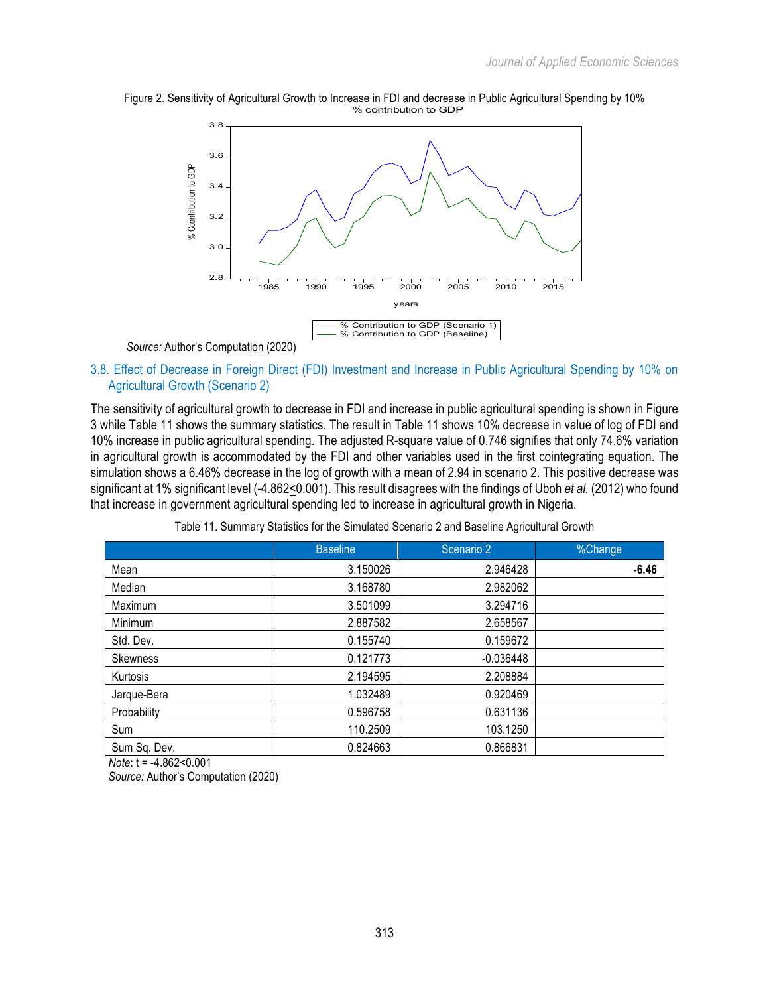



# 3.8. Effect of Decrease in Foreign Direct (FDI) Investment and Increase in Public Agricultural Spending by 10% on Agricultural Growth (Scenario 2)

The sensitivity of agricultural growth to decrease in FDI and increase in public agricultural spending is shown in Figure 3 while Table 11 shows the summary statistics. The result in Table 11 shows 10% decrease in value of log of FDI and 10% increase in public agricultural spending. The adjusted R-square value of 0.746 signifies that only 74.6% variation in agricultural growth is accommodated by the FDI and other variables used in the first cointegrating equation. The simulation shows a 6.46% decrease in the log of growth with a mean of 2.94 in scenario 2. This positive decrease was significant at 1% significant level (-4.862<0.001). This result disagrees with the findings of Uboh *et al.* (2012) who found that increase in government agricultural spending led to increase in agricultural growth in Nigeria.

|                 | <b>Baseline</b> | Scenario 2  | %Change |
|-----------------|-----------------|-------------|---------|
| Mean            | 3.150026        | 2.946428    | $-6.46$ |
| Median          | 3.168780        | 2.982062    |         |
| Maximum         | 3.501099        | 3.294716    |         |
| Minimum         | 2.887582        | 2.658567    |         |
| Std. Dev.       | 0.155740        | 0.159672    |         |
| <b>Skewness</b> | 0.121773        | $-0.036448$ |         |
| Kurtosis        | 2.194595        | 2.208884    |         |
| Jarque-Bera     | 1.032489        | 0.920469    |         |
| Probability     | 0.596758        | 0.631136    |         |
| Sum             | 110.2509        | 103.1250    |         |
| Sum Sq. Dev.    | 0.824663        | 0.866831    |         |

|  |  |  | Table 11. Summary Statistics for the Simulated Scenario 2 and Baseline Agricultural Growth |
|--|--|--|--------------------------------------------------------------------------------------------|
|--|--|--|--------------------------------------------------------------------------------------------|

*Note*: t = -4.862<0.001

*Source:* Author's Computation (2020)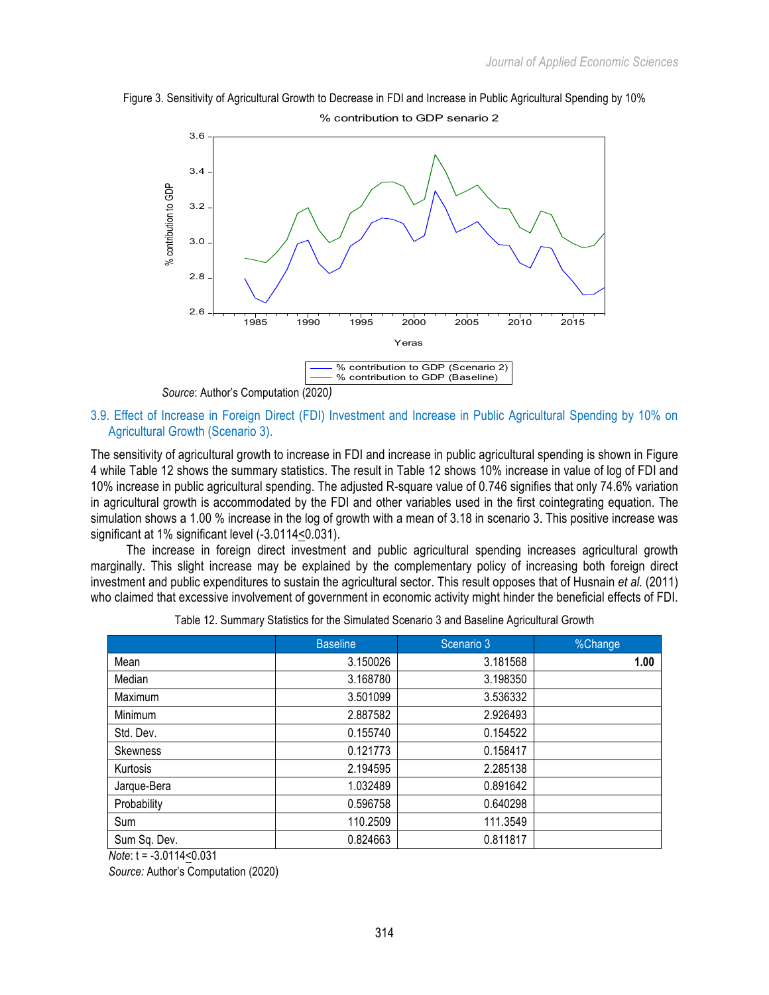



3.9. Effect of Increase in Foreign Direct (FDI) Investment and Increase in Public Agricultural Spending by 10% on Agricultural Growth (Scenario 3).

The sensitivity of agricultural growth to increase in FDI and increase in public agricultural spending is shown in Figure 4 while Table 12 shows the summary statistics. The result in Table 12 shows 10% increase in value of log of FDI and 10% increase in public agricultural spending. The adjusted R-square value of 0.746 signifies that only 74.6% variation in agricultural growth is accommodated by the FDI and other variables used in the first cointegrating equation. The simulation shows a 1.00 % increase in the log of growth with a mean of 3.18 in scenario 3. This positive increase was significant at 1% significant level (-3.0114<0.031).

The increase in foreign direct investment and public agricultural spending increases agricultural growth marginally. This slight increase may be explained by the complementary policy of increasing both foreign direct investment and public expenditures to sustain the agricultural sector. This result opposes that of Husnain *et al.* (2011) who claimed that excessive involvement of government in economic activity might hinder the beneficial effects of FDI.

|                 | <b>Baseline</b> | Scenario 3 | %Change |
|-----------------|-----------------|------------|---------|
| Mean            | 3.150026        | 3.181568   | 1.00    |
| Median          | 3.168780        | 3.198350   |         |
| Maximum         | 3.501099        | 3.536332   |         |
| Minimum         | 2.887582        | 2.926493   |         |
| Std. Dev.       | 0.155740        | 0.154522   |         |
| <b>Skewness</b> | 0.121773        | 0.158417   |         |
| Kurtosis        | 2.194595        | 2.285138   |         |
| Jarque-Bera     | 1.032489        | 0.891642   |         |
| Probability     | 0.596758        | 0.640298   |         |
| Sum             | 110.2509        | 111.3549   |         |
| Sum Sq. Dev.    | 0.824663        | 0.811817   |         |

Table 12. Summary Statistics for the Simulated Scenario 3 and Baseline Agricultural Growth

*Note*: t = -3.0114<0.031

*Source:* Author's Computation (2020)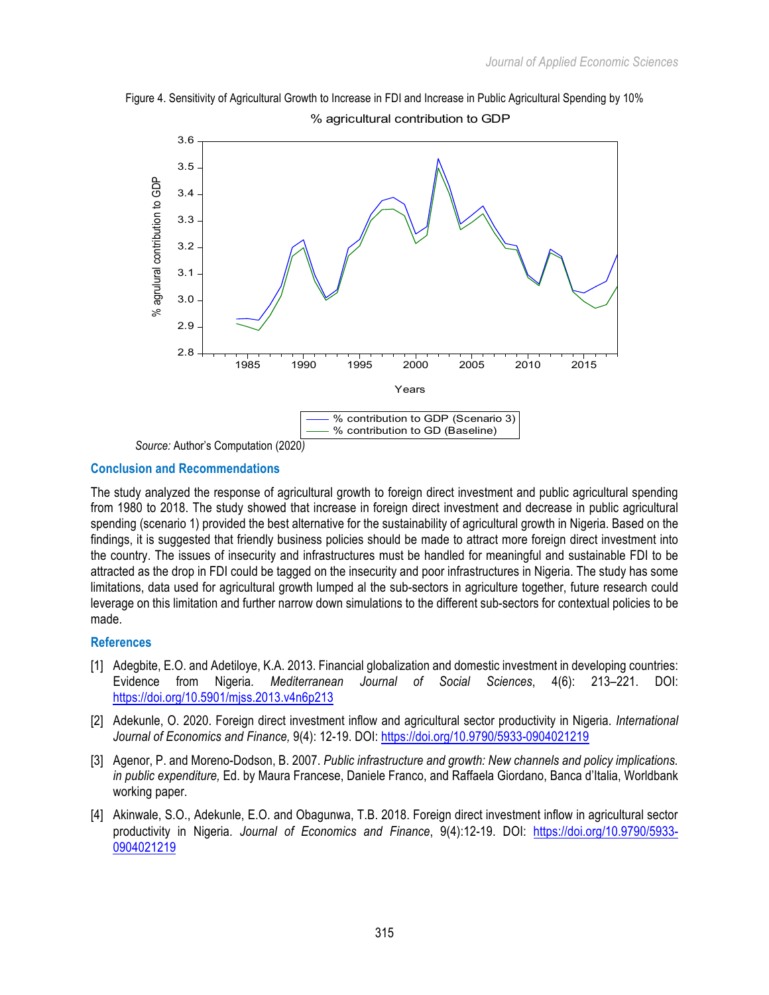



# **Conclusion and Recommendations**

The study analyzed the response of agricultural growth to foreign direct investment and public agricultural spending from 1980 to 2018. The study showed that increase in foreign direct investment and decrease in public agricultural spending (scenario 1) provided the best alternative for the sustainability of agricultural growth in Nigeria. Based on the findings, it is suggested that friendly business policies should be made to attract more foreign direct investment into the country. The issues of insecurity and infrastructures must be handled for meaningful and sustainable FDI to be attracted as the drop in FDI could be tagged on the insecurity and poor infrastructures in Nigeria. The study has some limitations, data used for agricultural growth lumped al the sub-sectors in agriculture together, future research could leverage on this limitation and further narrow down simulations to the different sub-sectors for contextual policies to be made.

# **References**

- [1] Adegbite, E.O. and Adetiloye, K.A. 2013. Financial globalization and domestic investment in developing countries: Evidence from Nigeria*. Mediterranean Journal of Social Sciences*, 4(6): 213–221. DOI: https://doi.org/10.5901/mjss.2013.v4n6p213
- [2] Adekunle, O. 2020. Foreign direct investment inflow and agricultural sector productivity in Nigeria. *International Journal of Economics and Finance,* 9(4): 12-19. DOI: https://doi.org/10.9790/5933-0904021219
- [3] Agenor, P. and Moreno-Dodson, B. 2007. *Public infrastructure and growth: New channels and policy implications. in public expenditure,* Ed. by Maura Francese, Daniele Franco, and Raffaela Giordano, Banca d'Italia, Worldbank working paper.
- [4] Akinwale, S.O., Adekunle, E.O. and Obagunwa, T.B. 2018. Foreign direct investment inflow in agricultural sector productivity in Nigeria. *Journal of Economics and Finance*, 9(4):12-19. DOI: https://doi.org/10.9790/5933- 0904021219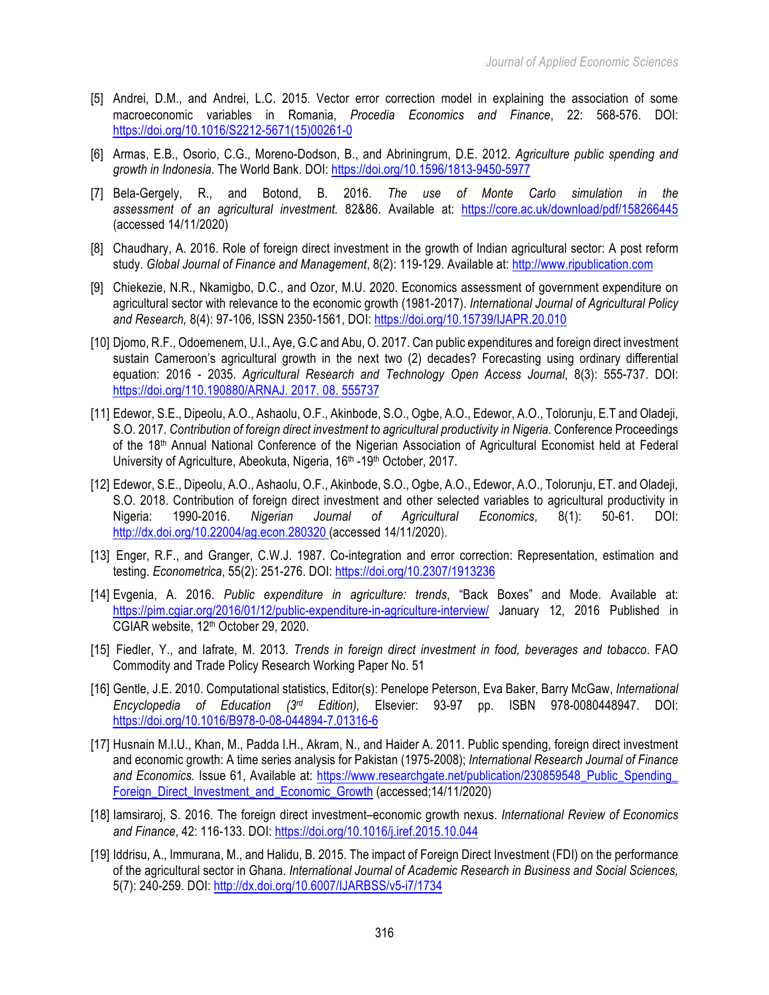- [5] Andrei, D.M., and Andrei, L.C. 2015. Vector error correction model in explaining the association of some macroeconomic variables in Romania, *Procedia Economics and Finance*, 22: 568-576. DOI: https://doi.org/10.1016/S2212-5671(15)00261-0
- [6] Armas, E.B., Osorio, C.G., Moreno-Dodson, B., and Abriningrum, D.E. 2012. *Agriculture public spending and growth in Indonesia*. The World Bank. DOI: https://doi.org/10.1596/1813-9450-5977
- [7] Bela-Gergely, R., and Botond, B. 2016. *The use of Monte Carlo simulation in the assessment of an agricultural investment.* 82&86. Available at: https://core.ac.uk/download/pdf/158266445 (accessed 14/11/2020)
- [8] Chaudhary, A. 2016. Role of foreign direct investment in the growth of Indian agricultural sector: A post reform study. *Global Journal of Finance and Management*, 8(2): 119-129. Available at: http://www.ripublication.com
- [9] Chiekezie, N.R., Nkamigbo, D.C., and Ozor, M.U. 2020. Economics assessment of government expenditure on agricultural sector with relevance to the economic growth (1981-2017). *International Journal of Agricultural Policy and Research,* 8(4): 97-106, ISSN 2350-1561, DOI: https://doi.org/10.15739/IJAPR.20.010
- [10] Djomo, R.F., Odoemenem, U.I., Aye, G.C and Abu, O. 2017. Can public expenditures and foreign direct investment sustain Cameroon's agricultural growth in the next two (2) decades? Forecasting using ordinary differential equation: 2016 - 2035. *Agricultural Research and Technology Open Access Journal*, 8(3): 555-737. DOI: https://doi.org/110.190880/ARNAJ. 2017. 08. 555737
- [11] Edewor, S.E., Dipeolu, A.O., Ashaolu, O.F., Akinbode, S.O., Ogbe, A.O., Edewor, A.O., Tolorunju, E.T and Oladeji, S.O. 2017. *Contribution of foreign direct investment to agricultural productivity in Nigeria*. Conference Proceedings of the 18<sup>th</sup> Annual National Conference of the Nigerian Association of Agricultural Economist held at Federal University of Agriculture, Abeokuta, Nigeria, 16<sup>th</sup> -19<sup>th</sup> October, 2017.
- [12] Edewor, S.E., Dipeolu, A.O., Ashaolu, O.F., Akinbode, S.O., Ogbe, A.O., Edewor, A.O., Tolorunju, ET. and Oladeji, S.O. 2018. Contribution of foreign direct investment and other selected variables to agricultural productivity in Nigeria: 1990-2016. *Nigerian Journal of Agricultural Economics*, 8(1): 50-61. DOI: http://dx.doi.org/10.22004/ag.econ.280320 (accessed 14/11/2020).
- [13] Enger, R.F., and Granger, C.W.J. 1987. Co-integration and error correction: Representation, estimation and testing. *Econometrica*, 55(2): 251-276. DOI: https://doi.org/10.2307/1913236
- [14] Evgenia, A. 2016. *Public expenditure in agriculture: trends*, "Back Boxes" and Mode. Available at: https://pim.cgiar.org/2016/01/12/public-expenditure-in-agriculture-interview/ January 12, 2016 Published in CGIAR website, 12<sup>th</sup> October 29, 2020.
- [15] Fiedler, Y., and Iafrate, M. 2013. *Trends in foreign direct investment in food, beverages and tobacco*. FAO Commodity and Trade Policy Research Working Paper No. 51
- [16] Gentle, J.E. 2010. Computational statistics, Editor(s): Penelope Peterson, Eva Baker, Barry McGaw, *International Encyclopedia of Education (3rd Edition),* Elsevier: 93-97 pp. ISBN 978-0080448947. DOI: https://doi.org/10.1016/B978-0-08-044894-7.01316-6
- [17] Husnain M.I.U., Khan, M., Padda I.H., Akram, N., and Haider A. 2011. Public spending, foreign direct investment and economic growth: A time series analysis for Pakistan (1975-2008); *International Research Journal of Finance* and Economics. Issue 61, Available at: https://www.researchgate.net/publication/230859548\_Public\_Spending Foreign\_Direct\_Investment\_and\_Economic\_Growth (accessed;14/11/2020)
- [18] Iamsiraroj, S. 2016. The foreign direct investment–economic growth nexus. *International Review of Economics and Finance*, 42: 116-133. DOI: https://doi.org/10.1016/j.iref.2015.10.044
- [19] Iddrisu, A., Immurana, M., and Halidu, B. 2015. The impact of Foreign Direct Investment (FDI) on the performance of the agricultural sector in Ghana. *International Journal of Academic Research in Business and Social Sciences,* 5(7): 240-259. DOI: http://dx.doi.org/10.6007/IJARBSS/v5-i7/1734